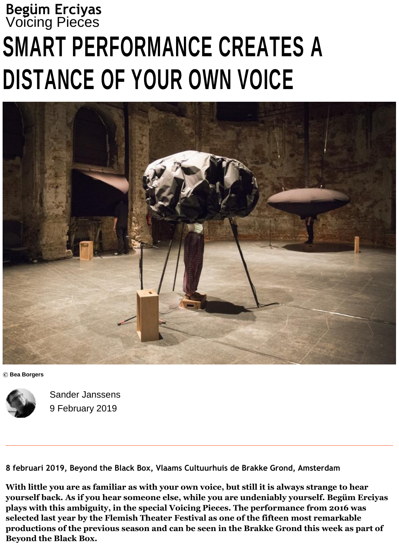## **Begüm Erciyas** Voicing Pieces **SMART PERFORMANCE CREATES A DISTANCE OF YOUR OWN VOICE**



**© Bea Borgers**



Sander Janssens 9 February 2019

**8 februari 2019, Beyond the Black Box, Vlaams Cultuurhuis de Brakke Grond, Amsterdam**

**With little you are as familiar as with your own voice, but still it is always strange to hear yourself back. As if you hear someone else, while you are undeniably yourself. Begüm Erciyas plays with this ambiguity, in the special Voicing Pieces. The performance from 2016 was selected last year by the Flemish Theater Festival as one of the fifteen most remarkable productions of the previous season and can be seen in the Brakke Grond this week as part of Beyond the Black Box.**